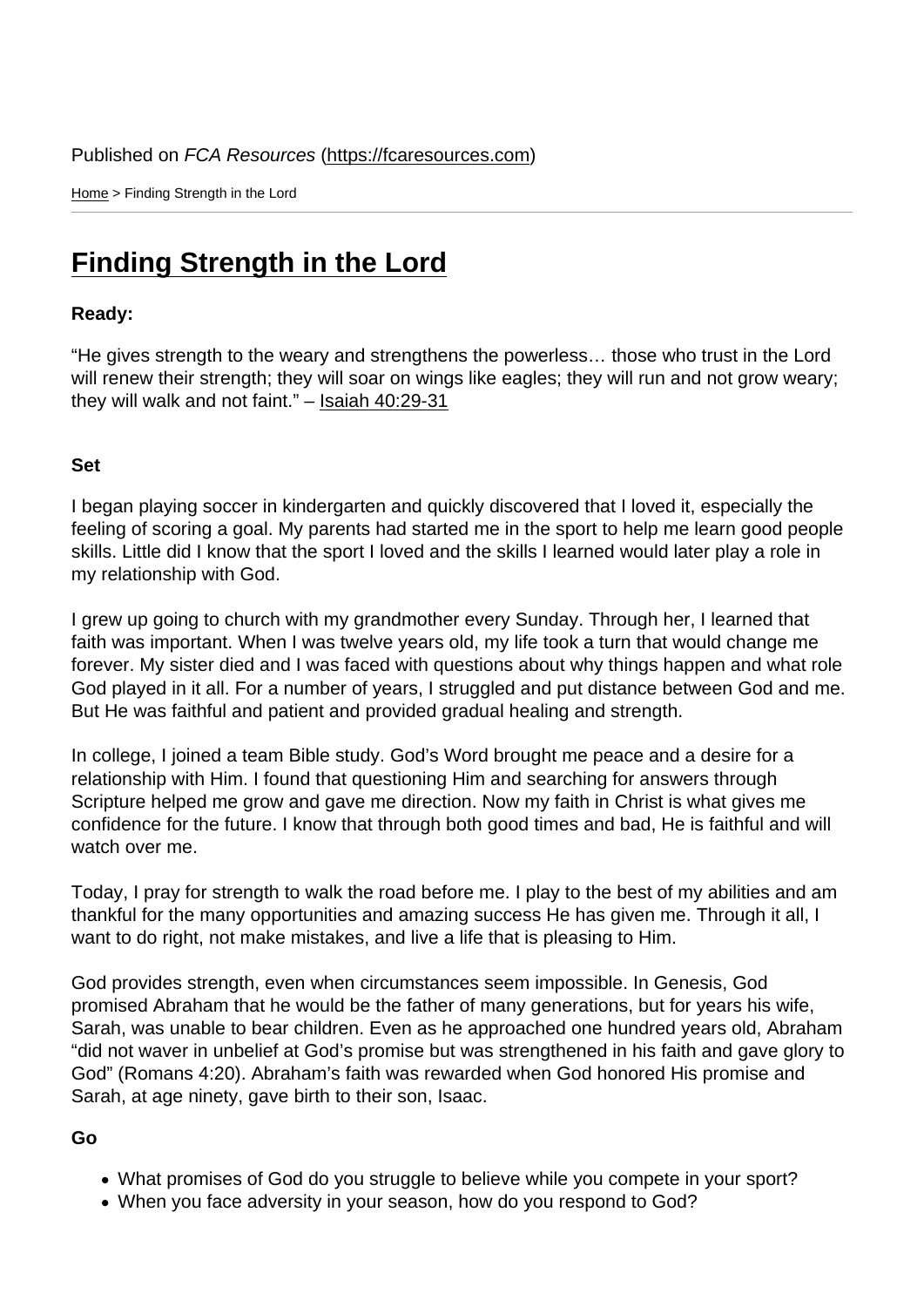Home > Finding Strength in the Lord

## [Fin](https://fcaresources.com/)ding Strength in the Lord

Ready:

["He gives strength to the weary and strengthe](https://fcaresources.com/devotional/finding-strength-lord)ns the powerless… those who trust in the Lord will renew their strength; they will soar on wings like eagles; they will run and not grow weary; they will walk and not faint." – Isaiah 40:29-31

Set

I began playing soccer in kindergarten and quickly discovered that I loved it, especially the feeling of scoring a goal. My parents had started me in the sport to help me learn good people skills. Little did I know that the sport I loved and the skills I learned would later play a role in my relationship with God.

I grew up going to church with my grandmother every Sunday. Through her, I learned that faith was important. When I was twelve years old, my life took a turn that would change me forever. My sister died and I was faced with questions about why things happen and what role God played in it all. For a number of years, I struggled and put distance between God and me. But He was faithful and patient and provided gradual healing and strength.

In college, I joined a team Bible study. God's Word brought me peace and a desire for a relationship with Him. I found that questioning Him and searching for answers through Scripture helped me grow and gave me direction. Now my faith in Christ is what gives me confidence for the future. I know that through both good times and bad, He is faithful and will watch over me.

Today, I pray for strength to walk the road before me. I play to the best of my abilities and am thankful for the many opportunities and amazing success He has given me. Through it all, I want to do right, not make mistakes, and live a life that is pleasing to Him.

God provides strength, even when circumstances seem impossible. In Genesis, God promised Abraham that he would be the father of many generations, but for years his wife, Sarah, was unable to bear children. Even as he approached one hundred years old, Abraham "did not waver in unbelief at God's promise but was strengthened in his faith and gave glory to God" (Romans 4:20). Abraham's faith was rewarded when God honored His promise and Sarah, at age ninety, gave birth to their son, Isaac.

Go

- What promises of God do you struggle to believe while you compete in your sport?
- When you face adversity in your season, how do you respond to God?